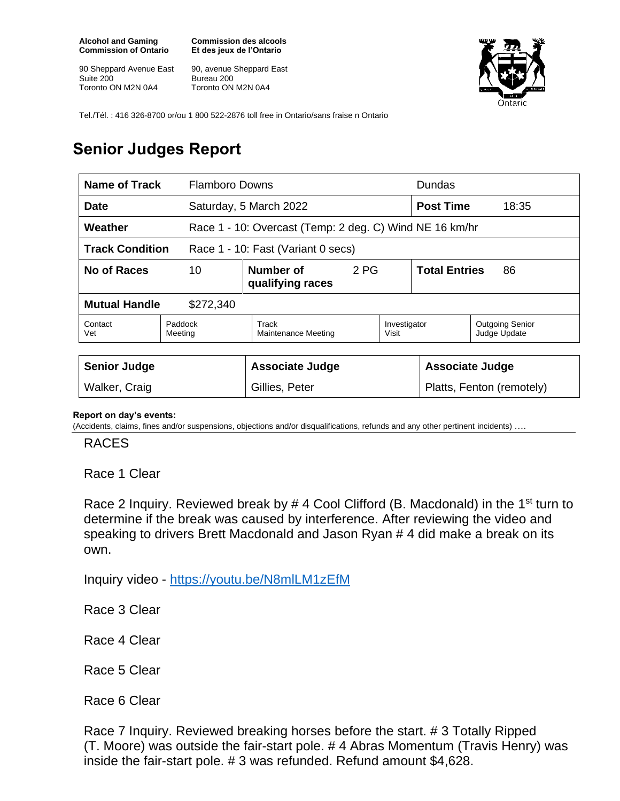**Alcohol and Gaming Commission of Ontario**

90 Sheppard Avenue East Suite 200 Toronto ON M2N 0A4

**Commission des alcools Et des jeux de l'Ontario**

90, avenue Sheppard East Bureau 200 Toronto ON M2N 0A4



Tel./Tél. : 416 326-8700 or/ou 1 800 522-2876 toll free in Ontario/sans fraise n Ontario

## **Senior Judges Report**

| Name of Track                                                |                    | <b>Flamboro Downs</b>                                   |      |                           | Dundas                     |                                        |
|--------------------------------------------------------------|--------------------|---------------------------------------------------------|------|---------------------------|----------------------------|----------------------------------------|
| <b>Date</b>                                                  |                    | Saturday, 5 March 2022                                  |      |                           | <b>Post Time</b>           | 18:35                                  |
| Weather                                                      |                    | Race 1 - 10: Overcast (Temp: 2 deg. C) Wind NE 16 km/hr |      |                           |                            |                                        |
| <b>Track Condition</b><br>Race 1 - 10: Fast (Variant 0 secs) |                    |                                                         |      |                           |                            |                                        |
| <b>No of Races</b>                                           | 10                 | Number of<br>qualifying races                           | 2 PG |                           | <b>Total Entries</b><br>86 |                                        |
| <b>Mutual Handle</b><br>\$272,340                            |                    |                                                         |      |                           |                            |                                        |
| Contact<br>Vet                                               | Paddock<br>Meeting | Track<br><b>Maintenance Meeting</b>                     |      | Investigator<br>Visit     |                            | <b>Outgoing Senior</b><br>Judge Update |
|                                                              |                    |                                                         |      |                           |                            |                                        |
| <b>Senior Judge</b>                                          |                    | <b>Associate Judge</b>                                  |      | <b>Associate Judge</b>    |                            |                                        |
| Walker, Craig                                                |                    | Gillies, Peter                                          |      | Platts, Fenton (remotely) |                            |                                        |

## **Report on day's events:**

(Accidents, claims, fines and/or suspensions, objections and/or disqualifications, refunds and any other pertinent incidents) ….

## RACES

Race 1 Clear

Race 2 Inquiry. Reviewed break by  $# 4$  Cool Clifford (B. Macdonald) in the 1<sup>st</sup> turn to determine if the break was caused by interference. After reviewing the video and speaking to drivers Brett Macdonald and Jason Ryan # 4 did make a break on its own.

Inquiry video - <https://youtu.be/N8mlLM1zEfM>

Race 3 Clear

Race 4 Clear

Race 5 Clear

Race 6 Clear

Race 7 Inquiry. Reviewed breaking horses before the start. # 3 Totally Ripped (T. Moore) was outside the fair-start pole. # 4 Abras Momentum (Travis Henry) was inside the fair-start pole. # 3 was refunded. Refund amount \$4,628.